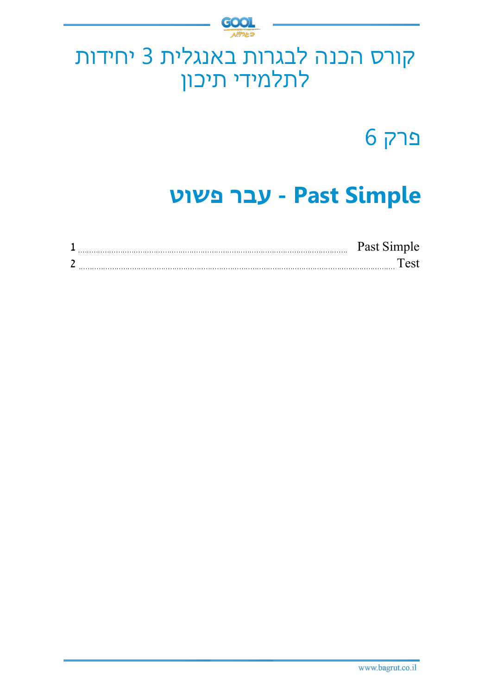

## קורס הכנה לבגרות באנגלית 3 יחידות לתלמידי תיכון

פרק 6

# **Simple Past - עבר פשוט**

|  | $J$ $\alpha$ $\alpha$ <sup><math>4</math></sup> |
|--|-------------------------------------------------|
|  |                                                 |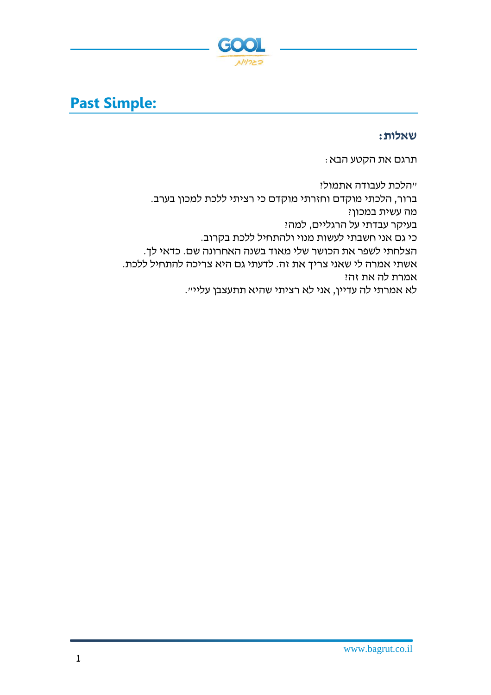

## **Past Simple:**

**שאלות:**

תרגם את הקטע הבא:

"הלכת לעבודה אתמול? ברור, הלכתי מוקדם וחזרתי מוקדם כי רציתי ללכת למכון בערב. מה עשית במכון? בעיקר עבדתי על הרגליים, למה? כי גם אני חשבתי לעשות מנוי ולהתחיל ללכת בקרוב. הצלחתי לשפר את הכושר שלי מאוד בשנה האחרונה שם. כדאי לך. אשתי אמרה לי שאני צריך את זה. לדעתי גם היא צריכה להתחיל ללכת. אמרת לה את זה? לא אמרתי לה עדיין, אני לא רציתי שהיא תתעצבן עליי״.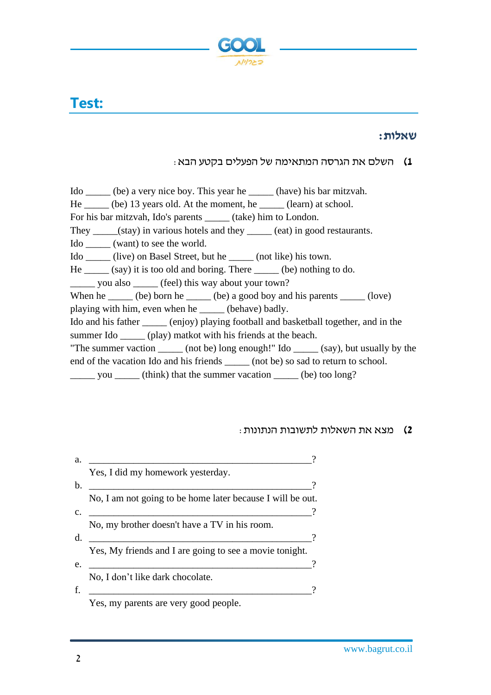

## **Test:**

#### **שאלות:**

### **1(** השלם את הגרסה המתאימה של הפעל ים בק טע הבא:

- Ido \_\_\_\_\_ (be) a very nice boy. This year he \_\_\_\_\_ (have) his bar mitzvah.
- He \_\_\_\_\_ (be) 13 years old. At the moment, he \_\_\_\_\_ (learn) at school.
- For his bar mitzvah, Ido's parents \_\_\_\_\_ (take) him to London.
- They (stay) in various hotels and they (eat) in good restaurants.
- Ido \_\_\_\_\_ (want) to see the world.
- Ido \_\_\_\_\_ (live) on Basel Street, but he \_\_\_\_\_ (not like) his town.
- $He$  (say) it is too old and boring. There (be) nothing to do.
- \_\_\_\_\_ you also \_\_\_\_\_ (feel) this way about your town?
- When he  $\_\_\_\_$  (be) born he  $\_\_\_\_$  (be) a good boy and his parents  $\_\_\_\_\_$  (love)
- playing with him, even when he \_\_\_\_\_ (behave) badly.
- Ido and his father \_\_\_\_\_ (enjoy) playing football and basketball together, and in the summer Ido \_\_\_\_\_\_ (play) matkot with his friends at the beach.
- "The summer vaction  $(not be)$  long enough!" Ido  $(sav)$ , but usually by the end of the vacation Ido and his friends \_\_\_\_\_\_ (not be) so sad to return to school.
- you \_\_\_\_\_ (think) that the summer vacation \_\_\_\_\_ (be) too long?

### **2(** מצא את השאלות לתשובות הנתונות:

| Yes, I did my homework yesterday.                          |  |
|------------------------------------------------------------|--|
|                                                            |  |
| No, I am not going to be home later because I will be out. |  |
|                                                            |  |
| No, my brother doesn't have a TV in his room.              |  |
|                                                            |  |
| Yes, My friends and I are going to see a movie tonight.    |  |
|                                                            |  |
| No, I don't like dark chocolate.                           |  |
|                                                            |  |
|                                                            |  |

Yes, my parents are very good people.